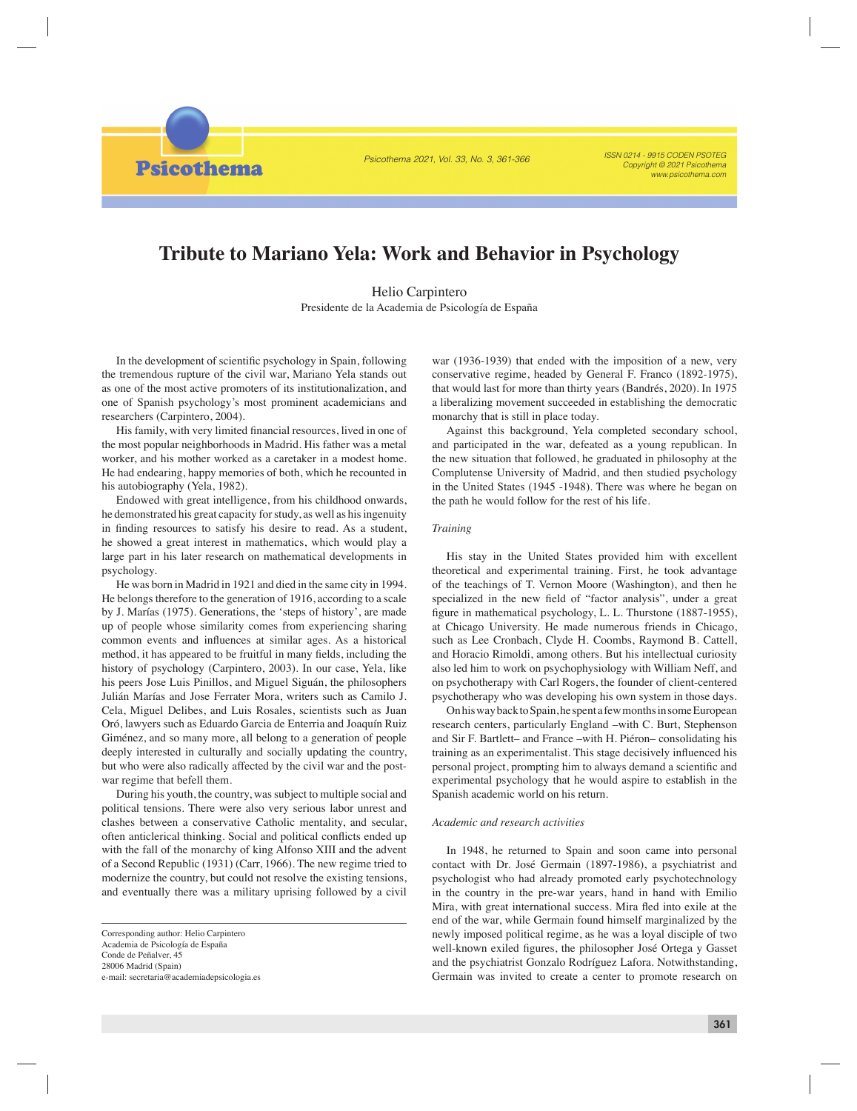Psicothema 2021, Vol. 33, No. 3, 361-366

ISSN 0214 - 9915 CODEN PSOTEG Copyright © 2021 Psicothema www.psicothema.com

# **Tribute to Mariano Yela: Work and Behavior in Psychology**

Helio Carpintero Presidente de la Academia de Psicología de España

In the development of scientific psychology in Spain, following the tremendous rupture of the civil war, Mariano Yela stands out as one of the most active promoters of its institutionalization, and one of Spanish psychology's most prominent academicians and researchers (Carpintero, 2004).

**Psicothema** 

His family, with very limited financial resources, lived in one of the most popular neighborhoods in Madrid. His father was a metal worker, and his mother worked as a caretaker in a modest home. He had endearing, happy memories of both, which he recounted in his autobiography (Yela, 1982).

Endowed with great intelligence, from his childhood onwards, he demonstrated his great capacity for study, as well as his ingenuity in finding resources to satisfy his desire to read. As a student, he showed a great interest in mathematics, which would play a large part in his later research on mathematical developments in psychology.

He was born in Madrid in 1921 and died in the same city in 1994. He belongs therefore to the generation of 1916, according to a scale by J. Marías (1975). Generations, the 'steps of history', are made up of people whose similarity comes from experiencing sharing common events and influences at similar ages. As a historical method, it has appeared to be fruitful in many fields, including the history of psychology (Carpintero, 2003). In our case, Yela, like his peers Jose Luis Pinillos, and Miguel Siguán, the philosophers Julián Marías and Jose Ferrater Mora, writers such as Camilo J. Cela, Miguel Delibes, and Luis Rosales, scientists such as Juan Oró, lawyers such as Eduardo Garcia de Enterria and Joaquín Ruiz Giménez, and so many more, all belong to a generation of people deeply interested in culturally and socially updating the country, but who were also radically affected by the civil war and the postwar regime that befell them.

During his youth, the country, was subject to multiple social and political tensions. There were also very serious labor unrest and clashes between a conservative Catholic mentality, and secular, often anticlerical thinking. Social and political conflicts ended up with the fall of the monarchy of king Alfonso XIII and the advent of a Second Republic (1931) (Carr, 1966). The new regime tried to modernize the country, but could not resolve the existing tensions, and eventually there was a military uprising followed by a civil

war (1936-1939) that ended with the imposition of a new, very conservative regime, headed by General F. Franco (1892-1975), that would last for more than thirty years (Bandrés, 2020). In 1975 a liberalizing movement succeeded in establishing the democratic monarchy that is still in place today.

Against this background, Yela completed secondary school, and participated in the war, defeated as a young republican. In the new situation that followed, he graduated in philosophy at the Complutense University of Madrid, and then studied psychology in the United States (1945 -1948). There was where he began on the path he would follow for the rest of his life.

## *Training*

His stay in the United States provided him with excellent theoretical and experimental training. First, he took advantage of the teachings of T. Vernon Moore (Washington), and then he specialized in the new field of "factor analysis", under a great figure in mathematical psychology, L. L. Thurstone (1887-1955), at Chicago University. He made numerous friends in Chicago, such as Lee Cronbach, Clyde H. Coombs, Raymond B. Cattell, and Horacio Rimoldi, among others. But his intellectual curiosity also led him to work on psychophysiology with William Neff, and on psychotherapy with Carl Rogers, the founder of client-centered psychotherapy who was developing his own system in those days.

On his way back to Spain, he spent a few months in some European research centers, particularly England –with C. Burt, Stephenson and Sir F. Bartlett– and France –with H. Piéron– consolidating his training as an experimentalist. This stage decisively influenced his personal project, prompting him to always demand a scientific and experimental psychology that he would aspire to establish in the Spanish academic world on his return.

### *Academic and research activities*

In 1948, he returned to Spain and soon came into personal contact with Dr. José Germain (1897-1986), a psychiatrist and psychologist who had already promoted early psychotechnology in the country in the pre-war years, hand in hand with Emilio Mira, with great international success. Mira fled into exile at the end of the war, while Germain found himself marginalized by the newly imposed political regime, as he was a loyal disciple of two well-known exiled figures, the philosopher José Ortega y Gasset and the psychiatrist Gonzalo Rodríguez Lafora. Notwithstanding, Germain was invited to create a center to promote research on

Corresponding author: Helio Carpintero Academia de Psicología de España Conde de Peñalver, 45 28006 Madrid (Spain) e-mail: secretaria@academiadepsicologia.es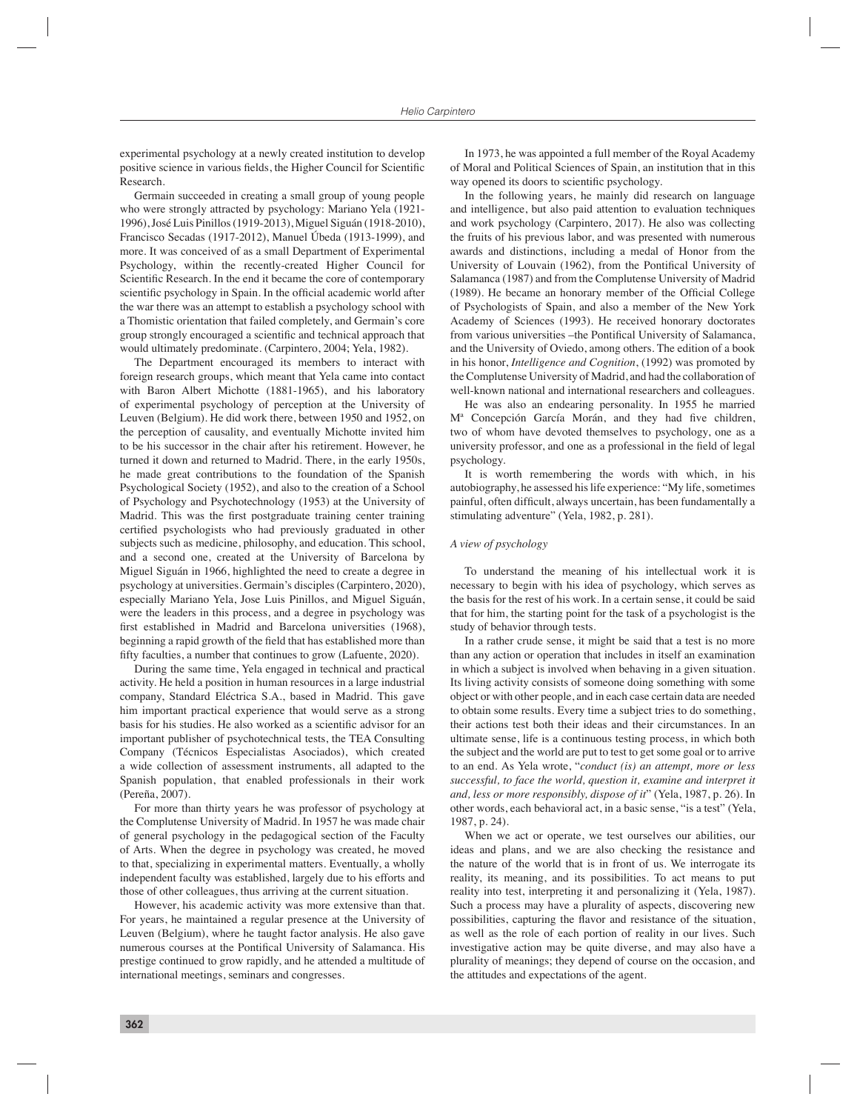experimental psychology at a newly created institution to develop positive science in various fields, the Higher Council for Scientific Research.

Germain succeeded in creating a small group of young people who were strongly attracted by psychology: Mariano Yela (1921- 1996), José Luis Pinillos (1919-2013), Miguel Siguán (1918-2010), Francisco Secadas (1917-2012), Manuel Úbeda (1913-1999), and more. It was conceived of as a small Department of Experimental Psychology, within the recently-created Higher Council for Scientific Research. In the end it became the core of contemporary scientific psychology in Spain. In the official academic world after the war there was an attempt to establish a psychology school with a Thomistic orientation that failed completely, and Germain's core group strongly encouraged a scientific and technical approach that would ultimately predominate. (Carpintero, 2004; Yela, 1982).

The Department encouraged its members to interact with foreign research groups, which meant that Yela came into contact with Baron Albert Michotte (1881-1965), and his laboratory of experimental psychology of perception at the University of Leuven (Belgium). He did work there, between 1950 and 1952, on the perception of causality, and eventually Michotte invited him to be his successor in the chair after his retirement. However, he turned it down and returned to Madrid. There, in the early 1950s, he made great contributions to the foundation of the Spanish Psychological Society (1952), and also to the creation of a School of Psychology and Psychotechnology (1953) at the University of Madrid. This was the first postgraduate training center training certified psychologists who had previously graduated in other subjects such as medicine, philosophy, and education. This school, and a second one, created at the University of Barcelona by Miguel Siguán in 1966, highlighted the need to create a degree in psychology at universities. Germain's disciples (Carpintero, 2020), especially Mariano Yela, Jose Luis Pinillos, and Miguel Siguán, were the leaders in this process, and a degree in psychology was first established in Madrid and Barcelona universities (1968), beginning a rapid growth of the field that has established more than fifty faculties, a number that continues to grow (Lafuente, 2020).

During the same time, Yela engaged in technical and practical activity. He held a position in human resources in a large industrial company, Standard Eléctrica S.A., based in Madrid. This gave him important practical experience that would serve as a strong basis for his studies. He also worked as a scientific advisor for an important publisher of psychotechnical tests, the TEA Consulting Company (Técnicos Especialistas Asociados), which created a wide collection of assessment instruments, all adapted to the Spanish population, that enabled professionals in their work (Pereña, 2007).

For more than thirty years he was professor of psychology at the Complutense University of Madrid. In 1957 he was made chair of general psychology in the pedagogical section of the Faculty of Arts. When the degree in psychology was created, he moved to that, specializing in experimental matters. Eventually, a wholly independent faculty was established, largely due to his efforts and those of other colleagues, thus arriving at the current situation.

However, his academic activity was more extensive than that. For years, he maintained a regular presence at the University of Leuven (Belgium), where he taught factor analysis. He also gave numerous courses at the Pontifical University of Salamanca. His prestige continued to grow rapidly, and he attended a multitude of international meetings, seminars and congresses.

In 1973, he was appointed a full member of the Royal Academy of Moral and Political Sciences of Spain, an institution that in this way opened its doors to scientific psychology.

In the following years, he mainly did research on language and intelligence, but also paid attention to evaluation techniques and work psychology (Carpintero, 2017). He also was collecting the fruits of his previous labor, and was presented with numerous awards and distinctions, including a medal of Honor from the University of Louvain (1962), from the Pontifical University of Salamanca (1987) and from the Complutense University of Madrid (1989). He became an honorary member of the Official College of Psychologists of Spain, and also a member of the New York Academy of Sciences (1993). He received honorary doctorates from various universities –the Pontifical University of Salamanca, and the University of Oviedo, among others. The edition of a book in his honor, *Intelligence and Cognition*, (1992) was promoted by the Complutense University of Madrid, and had the collaboration of well-known national and international researchers and colleagues.

He was also an endearing personality. In 1955 he married Mª Concepción García Morán, and they had five children, two of whom have devoted themselves to psychology, one as a university professor, and one as a professional in the field of legal psychology.

It is worth remembering the words with which, in his autobiography, he assessed his life experience: "My life, sometimes painful, often difficult, always uncertain, has been fundamentally a stimulating adventure" (Yela, 1982, p. 281).

#### *A view of psychology*

To understand the meaning of his intellectual work it is necessary to begin with his idea of psychology, which serves as the basis for the rest of his work. In a certain sense, it could be said that for him, the starting point for the task of a psychologist is the study of behavior through tests.

In a rather crude sense, it might be said that a test is no more than any action or operation that includes in itself an examination in which a subject is involved when behaving in a given situation. Its living activity consists of someone doing something with some object or with other people, and in each case certain data are needed to obtain some results. Every time a subject tries to do something, their actions test both their ideas and their circumstances*.* In an ultimate sense, life is a continuous testing process, in which both the subject and the world are put to test to get some goal or to arrive to an end. As Yela wrote, "*conduct (is) an attempt, more or less successful, to face the world, question it, examine and interpret it and, less or more responsibly, dispose of it*" (Yela, 1987, p. 26). In other words, each behavioral act, in a basic sense, "is a test" (Yela, 1987, p. 24).

When we act or operate, we test ourselves our abilities, our ideas and plans, and we are also checking the resistance and the nature of the world that is in front of us. We interrogate its reality, its meaning, and its possibilities. To act means to put reality into test, interpreting it and personalizing it (Yela, 1987). Such a process may have a plurality of aspects, discovering new possibilities, capturing the flavor and resistance of the situation, as well as the role of each portion of reality in our lives. Such investigative action may be quite diverse, and may also have a plurality of meanings; they depend of course on the occasion, and the attitudes and expectations of the agent.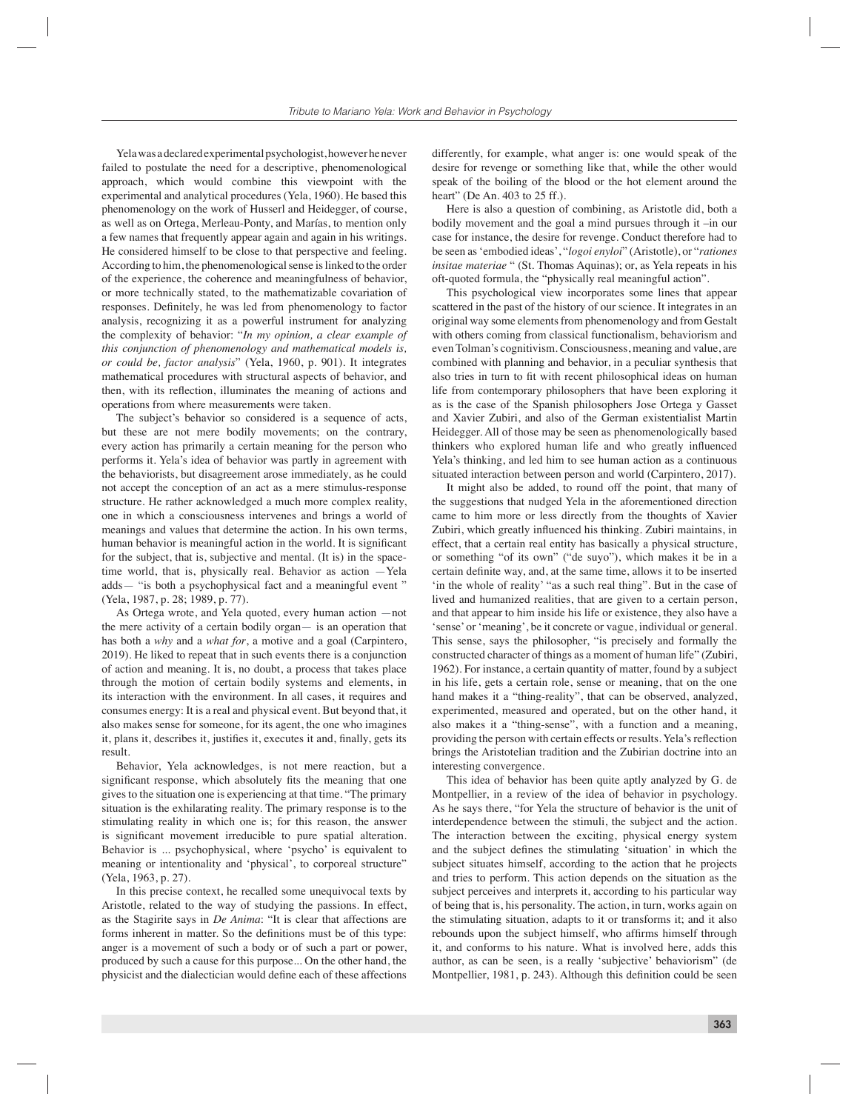Yela was a declared experimental psychologist, however he never failed to postulate the need for a descriptive, phenomenological approach, which would combine this viewpoint with the experimental and analytical procedures (Yela, 1960). He based this phenomenology on the work of Husserl and Heidegger, of course, as well as on Ortega, Merleau-Ponty, and Marías, to mention only a few names that frequently appear again and again in his writings. He considered himself to be close to that perspective and feeling. According to him, the phenomenological sense is linked to the order of the experience, the coherence and meaningfulness of behavior, or more technically stated, to the mathematizable covariation of responses. Definitely, he was led from phenomenology to factor analysis, recognizing it as a powerful instrument for analyzing the complexity of behavior: "*In my opinion, a clear example of this conjunction of phenomenology and mathematical models is, or could be, factor analysis*" (Yela, 1960, p. 901). It integrates mathematical procedures with structural aspects of behavior, and then, with its reflection, illuminates the meaning of actions and operations from where measurements were taken.

The subject's behavior so considered is a sequence of acts, but these are not mere bodily movements; on the contrary, every action has primarily a certain meaning for the person who performs it. Yela's idea of behavior was partly in agreement with the behaviorists, but disagreement arose immediately, as he could not accept the conception of an act as a mere stimulus-response structure. He rather acknowledged a much more complex reality, one in which a consciousness intervenes and brings a world of meanings and values that determine the action. In his own terms, human behavior is meaningful action in the world. It is significant for the subject, that is, subjective and mental. (It is) in the spacetime world, that is, physically real. Behavior as action —Yela adds— "is both a psychophysical fact and a meaningful event " (Yela, 1987, p. 28; 1989, p. 77).

As Ortega wrote, and Yela quoted, every human action —not the mere activity of a certain bodily organ— is an operation that has both a *why* and a *what for*, a motive and a goal (Carpintero, 2019). He liked to repeat that in such events there is a conjunction of action and meaning. It is, no doubt, a process that takes place through the motion of certain bodily systems and elements, in its interaction with the environment. In all cases, it requires and consumes energy: It is a real and physical event. But beyond that, it also makes sense for someone, for its agent, the one who imagines it, plans it, describes it, justifies it, executes it and, finally, gets its result.

Behavior, Yela acknowledges, is not mere reaction, but a significant response, which absolutely fits the meaning that one gives to the situation one is experiencing at that time. "The primary situation is the exhilarating reality. The primary response is to the stimulating reality in which one is; for this reason, the answer is significant movement irreducible to pure spatial alteration. Behavior is ... psychophysical, where 'psycho' is equivalent to meaning or intentionality and 'physical', to corporeal structure" (Yela, 1963, p. 27).

In this precise context, he recalled some unequivocal texts by Aristotle, related to the way of studying the passions. In effect, as the Stagirite says in *De Anima*: "It is clear that affections are forms inherent in matter. So the definitions must be of this type: anger is a movement of such a body or of such a part or power, produced by such a cause for this purpose... On the other hand, the physicist and the dialectician would define each of these affections

differently, for example, what anger is: one would speak of the desire for revenge or something like that, while the other would speak of the boiling of the blood or the hot element around the heart" (De An. 403 to 25 ff.).

Here is also a question of combining, as Aristotle did, both a bodily movement and the goal a mind pursues through it –in our case for instance, the desire for revenge. Conduct therefore had to be seen as 'embodied ideas', "*logoi enyloi*" (Aristotle), or "*rationes insitae materiae* " (St. Thomas Aquinas); or, as Yela repeats in his oft-quoted formula, the "physically real meaningful action".

This psychological view incorporates some lines that appear scattered in the past of the history of our science. It integrates in an original way some elements from phenomenology and from Gestalt with others coming from classical functionalism, behaviorism and even Tolman's cognitivism. Consciousness, meaning and value, are combined with planning and behavior, in a peculiar synthesis that also tries in turn to fit with recent philosophical ideas on human life from contemporary philosophers that have been exploring it as is the case of the Spanish philosophers Jose Ortega y Gasset and Xavier Zubiri, and also of the German existentialist Martin Heidegger. All of those may be seen as phenomenologically based thinkers who explored human life and who greatly influenced Yela's thinking, and led him to see human action as a continuous situated interaction between person and world (Carpintero, 2017).

It might also be added, to round off the point, that many of the suggestions that nudged Yela in the aforementioned direction came to him more or less directly from the thoughts of Xavier Zubiri, which greatly influenced his thinking. Zubiri maintains, in effect, that a certain real entity has basically a physical structure, or something "of its own" ("de suyo"), which makes it be in a certain definite way, and, at the same time, allows it to be inserted 'in the whole of reality' "as a such real thing". But in the case of lived and humanized realities, that are given to a certain person, and that appear to him inside his life or existence, they also have a 'sense' or 'meaning', be it concrete or vague, individual or general. This sense, says the philosopher, "is precisely and formally the constructed character of things as a moment of human life" (Zubiri, 1962). For instance, a certain quantity of matter, found by a subject in his life, gets a certain role, sense or meaning, that on the one hand makes it a "thing-reality", that can be observed, analyzed, experimented, measured and operated, but on the other hand, it also makes it a "thing-sense", with a function and a meaning, providing the person with certain effects or results. Yela's reflection brings the Aristotelian tradition and the Zubirian doctrine into an interesting convergence.

This idea of behavior has been quite aptly analyzed by G. de Montpellier, in a review of the idea of behavior in psychology. As he says there, "for Yela the structure of behavior is the unit of interdependence between the stimuli, the subject and the action. The interaction between the exciting, physical energy system and the subject defines the stimulating 'situation' in which the subject situates himself, according to the action that he projects and tries to perform. This action depends on the situation as the subject perceives and interprets it, according to his particular way of being that is, his personality. The action, in turn, works again on the stimulating situation, adapts to it or transforms it; and it also rebounds upon the subject himself, who affirms himself through it, and conforms to his nature. What is involved here, adds this author, as can be seen, is a really 'subjective' behaviorism" (de Montpellier, 1981, p. 243). Although this definition could be seen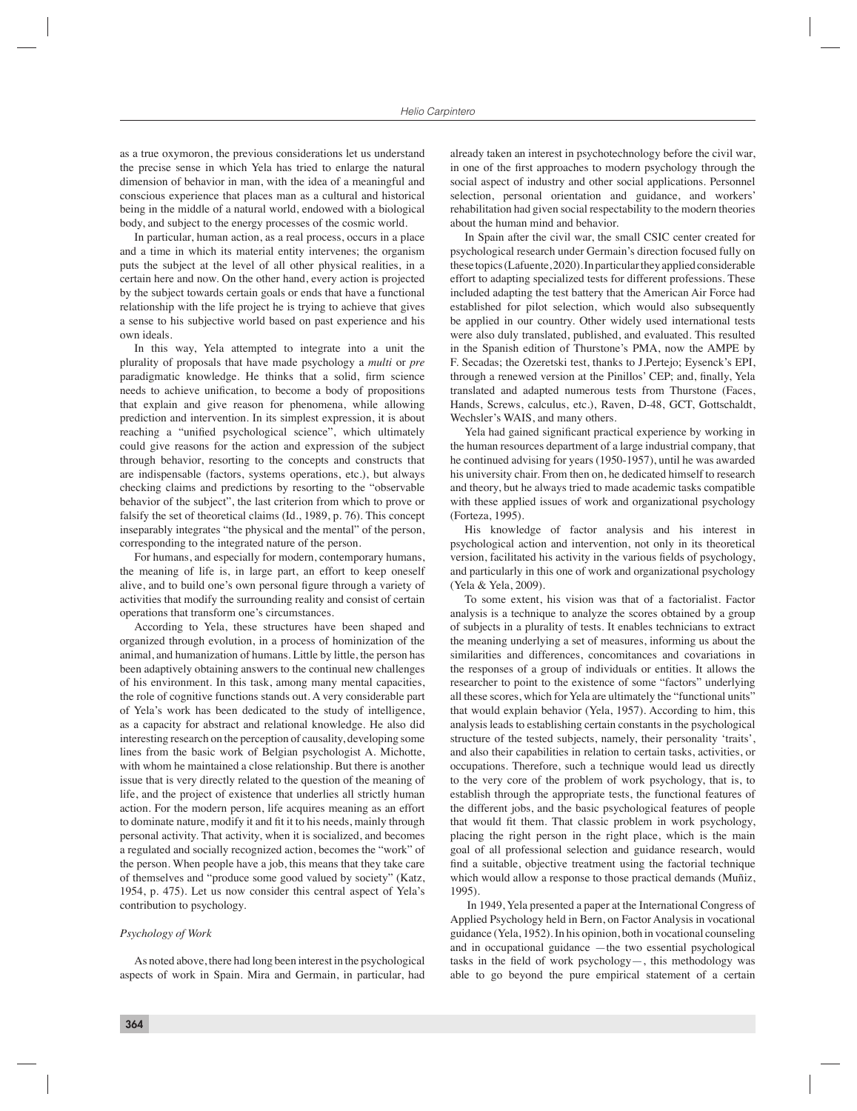as a true oxymoron, the previous considerations let us understand the precise sense in which Yela has tried to enlarge the natural dimension of behavior in man, with the idea of a meaningful and conscious experience that places man as a cultural and historical being in the middle of a natural world, endowed with a biological body, and subject to the energy processes of the cosmic world.

In particular, human action, as a real process, occurs in a place and a time in which its material entity intervenes; the organism puts the subject at the level of all other physical realities, in a certain here and now. On the other hand, every action is projected by the subject towards certain goals or ends that have a functional relationship with the life project he is trying to achieve that gives a sense to his subjective world based on past experience and his own ideals.

In this way, Yela attempted to integrate into a unit the plurality of proposals that have made psychology a *multi* or *pre* paradigmatic knowledge. He thinks that a solid, firm science needs to achieve unification, to become a body of propositions that explain and give reason for phenomena, while allowing prediction and intervention. In its simplest expression, it is about reaching a "unified psychological science", which ultimately could give reasons for the action and expression of the subject through behavior, resorting to the concepts and constructs that are indispensable (factors, systems operations, etc.), but always checking claims and predictions by resorting to the "observable behavior of the subject", the last criterion from which to prove or falsify the set of theoretical claims (Id., 1989, p. 76). This concept inseparably integrates "the physical and the mental" of the person, corresponding to the integrated nature of the person.

For humans, and especially for modern, contemporary humans, the meaning of life is, in large part, an effort to keep oneself alive, and to build one's own personal figure through a variety of activities that modify the surrounding reality and consist of certain operations that transform one's circumstances.

According to Yela, these structures have been shaped and organized through evolution, in a process of hominization of the animal, and humanization of humans. Little by little, the person has been adaptively obtaining answers to the continual new challenges of his environment. In this task, among many mental capacities, the role of cognitive functions stands out. A very considerable part of Yela's work has been dedicated to the study of intelligence, as a capacity for abstract and relational knowledge. He also did interesting research on the perception of causality, developing some lines from the basic work of Belgian psychologist A. Michotte, with whom he maintained a close relationship. But there is another issue that is very directly related to the question of the meaning of life, and the project of existence that underlies all strictly human action. For the modern person, life acquires meaning as an effort to dominate nature, modify it and fit it to his needs, mainly through personal activity. That activity, when it is socialized, and becomes a regulated and socially recognized action, becomes the "work" of the person. When people have a job, this means that they take care of themselves and "produce some good valued by society" (Katz, 1954, p. 475). Let us now consider this central aspect of Yela's contribution to psychology.

## *Psychology of Work*

As noted above, there had long been interest in the psychological aspects of work in Spain. Mira and Germain, in particular, had already taken an interest in psychotechnology before the civil war, in one of the first approaches to modern psychology through the social aspect of industry and other social applications. Personnel selection, personal orientation and guidance, and workers' rehabilitation had given social respectability to the modern theories about the human mind and behavior.

In Spain after the civil war, the small CSIC center created for psychological research under Germain's direction focused fully on these topics (Lafuente, 2020). In particular they applied considerable effort to adapting specialized tests for different professions. These included adapting the test battery that the American Air Force had established for pilot selection, which would also subsequently be applied in our country. Other widely used international tests were also duly translated, published, and evaluated. This resulted in the Spanish edition of Thurstone's PMA, now the AMPE by F. Secadas; the Ozeretski test, thanks to J.Pertejo; Eysenck's EPI, through a renewed version at the Pinillos' CEP; and, finally, Yela translated and adapted numerous tests from Thurstone (Faces, Hands, Screws, calculus, etc.), Raven, D-48, GCT, Gottschaldt, Wechsler's WAIS, and many others.

Yela had gained significant practical experience by working in the human resources department of a large industrial company, that he continued advising for years (1950-1957), until he was awarded his university chair. From then on, he dedicated himself to research and theory, but he always tried to made academic tasks compatible with these applied issues of work and organizational psychology (Forteza, 1995).

His knowledge of factor analysis and his interest in psychological action and intervention, not only in its theoretical version, facilitated his activity in the various fields of psychology, and particularly in this one of work and organizational psychology (Yela & Yela, 2009).

To some extent, his vision was that of a factorialist. Factor analysis is a technique to analyze the scores obtained by a group of subjects in a plurality of tests. It enables technicians to extract the meaning underlying a set of measures, informing us about the similarities and differences, concomitances and covariations in the responses of a group of individuals or entities. It allows the researcher to point to the existence of some "factors" underlying all these scores, which for Yela are ultimately the "functional units" that would explain behavior (Yela, 1957). According to him, this analysis leads to establishing certain constants in the psychological structure of the tested subjects, namely, their personality 'traits', and also their capabilities in relation to certain tasks, activities, or occupations. Therefore, such a technique would lead us directly to the very core of the problem of work psychology, that is, to establish through the appropriate tests, the functional features of the different jobs, and the basic psychological features of people that would fit them. That classic problem in work psychology, placing the right person in the right place, which is the main goal of all professional selection and guidance research, would find a suitable, objective treatment using the factorial technique which would allow a response to those practical demands (Muñiz, 1995).

 In 1949, Yela presented a paper at the International Congress of Applied Psychology held in Bern, on Factor Analysis in vocational guidance (Yela, 1952). In his opinion, both in vocational counseling and in occupational guidance —the two essential psychological tasks in the field of work psychology—, this methodology was able to go beyond the pure empirical statement of a certain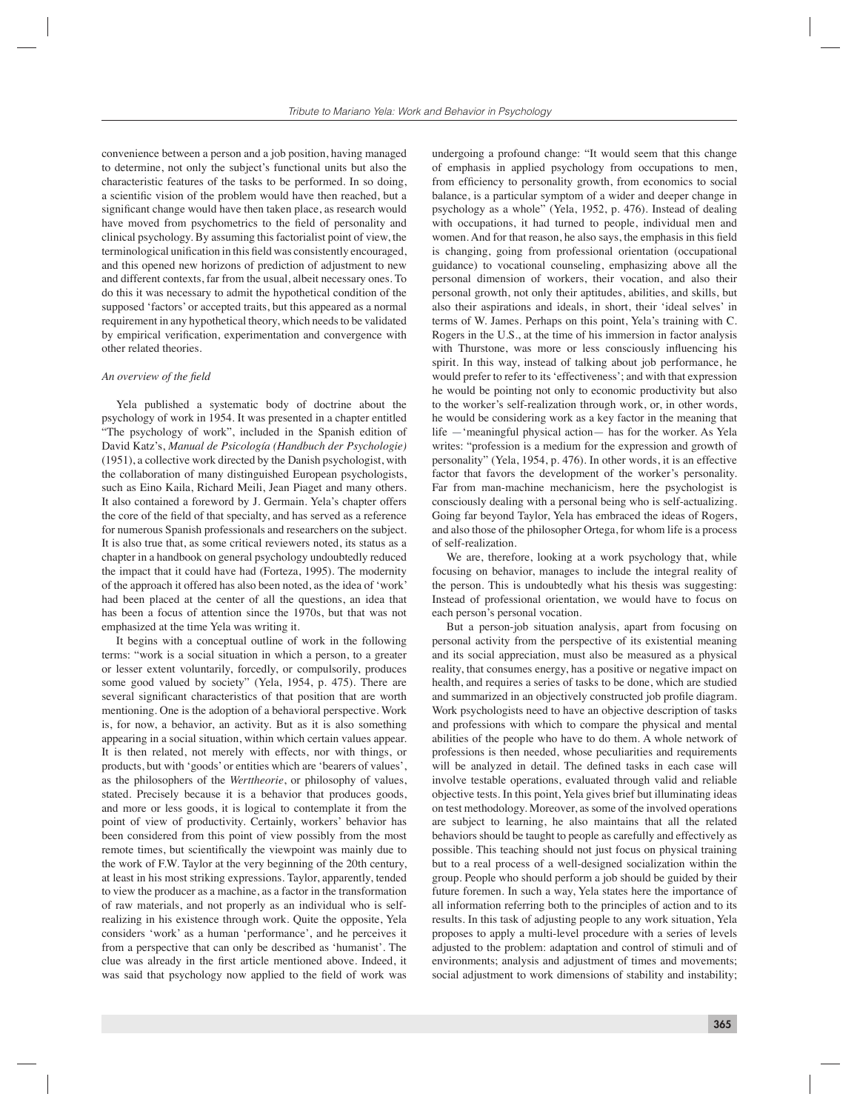convenience between a person and a job position, having managed to determine, not only the subject's functional units but also the characteristic features of the tasks to be performed. In so doing, a scientific vision of the problem would have then reached, but a significant change would have then taken place, as research would have moved from psychometrics to the field of personality and clinical psychology. By assuming this factorialist point of view, the terminological unification in this field was consistently encouraged. and this opened new horizons of prediction of adjustment to new and different contexts, far from the usual, albeit necessary ones. To do this it was necessary to admit the hypothetical condition of the supposed 'factors' or accepted traits, but this appeared as a normal requirement in any hypothetical theory, which needs to be validated by empirical verification, experimentation and convergence with other related theories.

### *An overview of the field*

Yela published a systematic body of doctrine about the psychology of work in 1954. It was presented in a chapter entitled "The psychology of work", included in the Spanish edition of David Katz's, *Manual de Psicología (Handbuch der Psychologie)* (1951), a collective work directed by the Danish psychologist, with the collaboration of many distinguished European psychologists, such as Eino Kaila, Richard Meili, Jean Piaget and many others. It also contained a foreword by J. Germain. Yela's chapter offers the core of the field of that specialty, and has served as a reference for numerous Spanish professionals and researchers on the subject. It is also true that, as some critical reviewers noted, its status as a chapter in a handbook on general psychology undoubtedly reduced the impact that it could have had (Forteza, 1995). The modernity of the approach it offered has also been noted, as the idea of 'work' had been placed at the center of all the questions, an idea that has been a focus of attention since the 1970s, but that was not emphasized at the time Yela was writing it.

It begins with a conceptual outline of work in the following terms: "work is a social situation in which a person, to a greater or lesser extent voluntarily, forcedly, or compulsorily, produces some good valued by society" (Yela, 1954, p. 475). There are several significant characteristics of that position that are worth mentioning. One is the adoption of a behavioral perspective. Work is, for now, a behavior, an activity. But as it is also something appearing in a social situation, within which certain values appear. It is then related, not merely with effects, nor with things, or products, but with 'goods' or entities which are 'bearers of values', as the philosophers of the *Werttheorie*, or philosophy of values, stated. Precisely because it is a behavior that produces goods, and more or less goods, it is logical to contemplate it from the point of view of productivity. Certainly, workers' behavior has been considered from this point of view possibly from the most remote times, but scientifically the viewpoint was mainly due to the work of F.W. Taylor at the very beginning of the 20th century, at least in his most striking expressions. Taylor, apparently, tended to view the producer as a machine, as a factor in the transformation of raw materials, and not properly as an individual who is selfrealizing in his existence through work. Quite the opposite, Yela considers 'work' as a human 'performance', and he perceives it from a perspective that can only be described as 'humanist'. The clue was already in the first article mentioned above. Indeed, it was said that psychology now applied to the field of work was

undergoing a profound change: "It would seem that this change of emphasis in applied psychology from occupations to men, from efficiency to personality growth, from economics to social balance, is a particular symptom of a wider and deeper change in psychology as a whole" (Yela, 1952, p. 476). Instead of dealing with occupations, it had turned to people, individual men and women. And for that reason, he also says, the emphasis in this field is changing, going from professional orientation (occupational guidance) to vocational counseling, emphasizing above all the personal dimension of workers, their vocation, and also their personal growth, not only their aptitudes, abilities, and skills, but also their aspirations and ideals, in short, their 'ideal selves' in terms of W. James. Perhaps on this point, Yela's training with C. Rogers in the U.S., at the time of his immersion in factor analysis with Thurstone, was more or less consciously influencing his spirit. In this way, instead of talking about job performance, he would prefer to refer to its 'effectiveness'; and with that expression he would be pointing not only to economic productivity but also to the worker's self-realization through work, or, in other words, he would be considering work as a key factor in the meaning that life —'meaningful physical action— has for the worker. As Yela writes: "profession is a medium for the expression and growth of personality" (Yela, 1954, p. 476). In other words, it is an effective factor that favors the development of the worker's personality. Far from man-machine mechanicism, here the psychologist is consciously dealing with a personal being who is self-actualizing. Going far beyond Taylor, Yela has embraced the ideas of Rogers, and also those of the philosopher Ortega, for whom life is a process of self-realization.

We are, therefore, looking at a work psychology that, while focusing on behavior, manages to include the integral reality of the person. This is undoubtedly what his thesis was suggesting: Instead of professional orientation, we would have to focus on each person's personal vocation.

But a person-job situation analysis, apart from focusing on personal activity from the perspective of its existential meaning and its social appreciation, must also be measured as a physical reality, that consumes energy, has a positive or negative impact on health, and requires a series of tasks to be done, which are studied and summarized in an objectively constructed job profile diagram. Work psychologists need to have an objective description of tasks and professions with which to compare the physical and mental abilities of the people who have to do them. A whole network of professions is then needed, whose peculiarities and requirements will be analyzed in detail. The defined tasks in each case will involve testable operations, evaluated through valid and reliable objective tests. In this point, Yela gives brief but illuminating ideas on test methodology. Moreover, as some of the involved operations are subject to learning, he also maintains that all the related behaviors should be taught to people as carefully and effectively as possible. This teaching should not just focus on physical training but to a real process of a well-designed socialization within the group. People who should perform a job should be guided by their future foremen. In such a way, Yela states here the importance of all information referring both to the principles of action and to its results. In this task of adjusting people to any work situation, Yela proposes to apply a multi-level procedure with a series of levels adjusted to the problem: adaptation and control of stimuli and of environments; analysis and adjustment of times and movements; social adjustment to work dimensions of stability and instability;